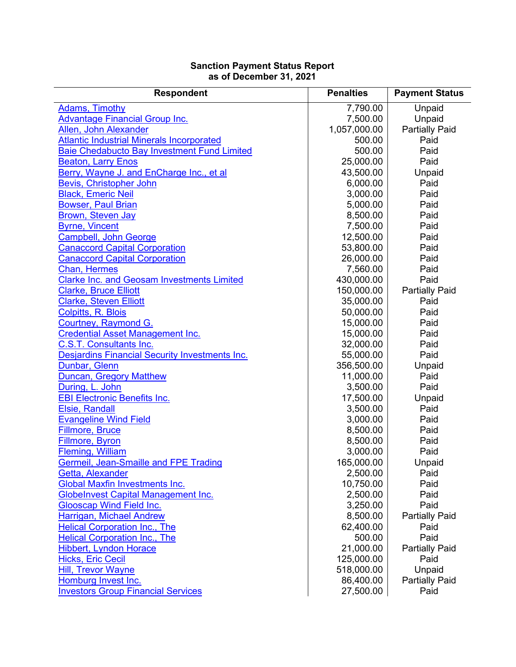## **Sanction Payment Status Report as of December 31, 2021**

| <b>Respondent</b>                                     | <b>Penalties</b> | <b>Payment Status</b> |
|-------------------------------------------------------|------------------|-----------------------|
| <b>Adams, Timothy</b>                                 | 7,790.00         | Unpaid                |
| <b>Advantage Financial Group Inc.</b>                 | 7,500.00         | Unpaid                |
| Allen, John Alexander                                 | 1,057,000.00     | <b>Partially Paid</b> |
| <b>Atlantic Industrial Minerals Incorporated</b>      | 500.00           | Paid                  |
| <b>Baie Chedabucto Bay Investment Fund Limited</b>    | 500.00           | Paid                  |
| <b>Beaton, Larry Enos</b>                             | 25,000.00        | Paid                  |
| Berry, Wayne J. and EnCharge Inc., et al              | 43,500.00        | Unpaid                |
| Bevis, Christopher John                               | 6,000.00         | Paid                  |
| <b>Black, Emeric Neil</b>                             | 3,000.00         | Paid                  |
| <b>Bowser, Paul Brian</b>                             | 5,000.00         | Paid                  |
| <b>Brown, Steven Jay</b>                              | 8,500.00         | Paid                  |
| <b>Byrne, Vincent</b>                                 | 7,500.00         | Paid                  |
| <b>Campbell, John George</b>                          | 12,500.00        | Paid                  |
| <b>Canaccord Capital Corporation</b>                  | 53,800.00        | Paid                  |
| <b>Canaccord Capital Corporation</b>                  | 26,000.00        | Paid                  |
| <b>Chan, Hermes</b>                                   | 7,560.00         | Paid                  |
| <b>Clarke Inc. and Geosam Investments Limited</b>     | 430,000.00       | Paid                  |
| <b>Clarke, Bruce Elliott</b>                          | 150,000.00       | <b>Partially Paid</b> |
| <b>Clarke, Steven Elliott</b>                         | 35,000.00        | Paid                  |
| <b>Colpitts, R. Blois</b>                             | 50,000.00        | Paid                  |
| Courtney, Raymond G.                                  | 15,000.00        | Paid                  |
| <b>Credential Asset Management Inc.</b>               | 15,000.00        | Paid                  |
| <b>C.S.T. Consultants Inc.</b>                        | 32,000.00        | Paid                  |
| <b>Desjardins Financial Security Investments Inc.</b> | 55,000.00        | Paid                  |
| Dunbar, Glenn                                         | 356,500.00       | Unpaid                |
| <b>Duncan, Gregory Matthew</b>                        | 11,000.00        | Paid                  |
| During, L. John                                       | 3,500.00         | Paid                  |
| <b>EBI Electronic Benefits Inc.</b>                   | 17,500.00        | Unpaid                |
| Elsie, Randall                                        | 3,500.00         | Paid                  |
| <b>Evangeline Wind Field</b>                          | 3,000.00         | Paid                  |
| <b>Fillmore, Bruce</b>                                | 8,500.00         | Paid                  |
| Fillmore, Byron                                       | 8,500.00         | Paid                  |
| <b>Fleming, William</b>                               | 3,000.00         | Paid                  |
| <b>Germeil, Jean-Smaille and FPE Trading</b>          | 165,000.00       | Unpaid                |
| Getta, Alexander                                      | 2,500.00         | Paid                  |
| <b>Global Maxfin Investments Inc.</b>                 | 10,750.00        | Paid                  |
| <b>Globelnvest Capital Management Inc.</b>            | 2,500.00         | Paid                  |
| <b>Glooscap Wind Field Inc.</b>                       | 3,250.00         | Paid                  |
| Harrigan, Michael Andrew                              | 8,500.00         | <b>Partially Paid</b> |
| <b>Helical Corporation Inc., The</b>                  | 62,400.00        | Paid                  |
| <b>Helical Corporation Inc., The</b>                  | 500.00           | Paid                  |
| <b>Hibbert, Lyndon Horace</b>                         | 21,000.00        | <b>Partially Paid</b> |
| <b>Hicks, Eric Cecil</b>                              | 125,000.00       | Paid                  |
| <b>Hill, Trevor Wayne</b>                             | 518,000.00       | Unpaid                |
| Homburg Invest Inc.                                   | 86,400.00        | <b>Partially Paid</b> |
| <b>Investors Group Financial Services</b>             | 27,500.00        | Paid                  |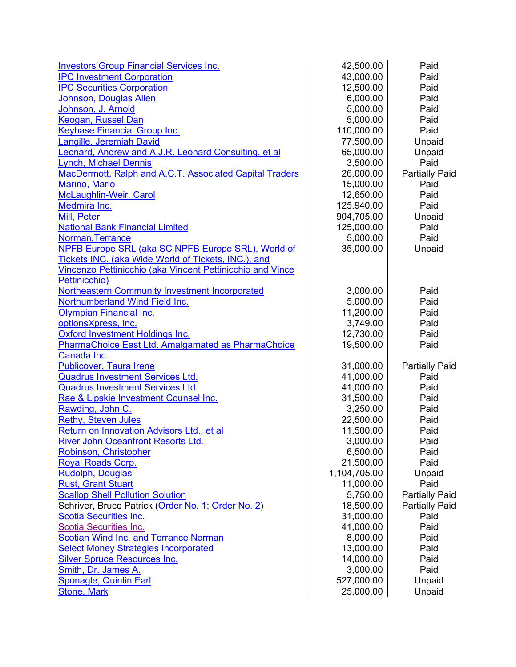| <b>Investors Group Financial Services Inc.</b>            | 42,500.00    | Paid                  |
|-----------------------------------------------------------|--------------|-----------------------|
| <b>IPC Investment Corporation</b>                         | 43,000.00    | Paid                  |
| <b>IPC Securities Corporation</b>                         | 12,500.00    | Paid                  |
| Johnson, Douglas Allen                                    | 6,000.00     | Paid                  |
| Johnson, J. Arnold                                        | 5,000.00     | Paid                  |
| Keogan, Russel Dan                                        | 5,000.00     | Paid                  |
| <b>Keybase Financial Group Inc.</b>                       | 110,000.00   | Paid                  |
| Langille, Jeremiah David                                  | 77,500.00    | Unpaid                |
| Leonard, Andrew and A.J.R. Leonard Consulting, et al      | 65,000.00    | Unpaid                |
| <b>Lynch, Michael Dennis</b>                              | 3,500.00     | Paid                  |
| MacDermott, Ralph and A.C.T. Associated Capital Traders   | 26,000.00    | <b>Partially Paid</b> |
| <b>Marino, Mario</b>                                      | 15,000.00    | Paid                  |
| McLaughlin-Weir, Carol                                    | 12,650.00    | Paid                  |
| Medmira Inc.                                              | 125,940.00   | Paid                  |
| Mill, Peter                                               | 904,705.00   | Unpaid                |
| <b>National Bank Financial Limited</b>                    | 125,000.00   | Paid                  |
| Norman, Terrance                                          | 5,000.00     | Paid                  |
| NPFB Europe SRL (aka SC NPFB Europe SRL), World of        | 35,000.00    | Unpaid                |
| Tickets INC. (aka Wide World of Tickets, INC.), and       |              |                       |
| Vincenzo Pettinicchio (aka Vincent Pettinicchio and Vince |              |                       |
| Pettinicchio)                                             |              |                       |
| <b>Northeastern Community Investment Incorporated</b>     | 3,000.00     | Paid                  |
| Northumberland Wind Field Inc.                            | 5,000.00     | Paid                  |
| <b>Olympian Financial Inc.</b>                            | 11,200.00    | Paid                  |
| optionsXpress, Inc.                                       | 3,749.00     | Paid                  |
| Oxford Investment Holdings Inc.                           | 12,730.00    | Paid                  |
| PharmaChoice East Ltd. Amalgamated as PharmaChoice        | 19,500.00    | Paid                  |
| Canada Inc.                                               |              |                       |
| Publicover, Taura Irene                                   | 31,000.00    | <b>Partially Paid</b> |
| <b>Quadrus Investment Services Ltd.</b>                   | 41,000.00    | Paid                  |
| <b>Quadrus Investment Services Ltd.</b>                   | 41,000.00    | Paid                  |
| Rae & Lipskie Investment Counsel Inc.                     | 31,500.00    | Paid                  |
| Rawding, John C.                                          | 3,250.00     | Paid                  |
| <b>Rethy, Steven Jules</b>                                | 22,500.00    | Paid                  |
| Return on Innovation Advisors Ltd., et al                 | 11,500.00    | Paid                  |
| River John Oceanfront Resorts Ltd.                        | 3,000.00     | Paid                  |
| Robinson, Christopher                                     | 6,500.00     | Paid                  |
| <b>Royal Roads Corp.</b>                                  | 21,500.00    | Paid                  |
| <b>Rudolph, Douglas</b>                                   | 1,104,705.00 | Unpaid                |
| <b>Rust, Grant Stuart</b>                                 | 11,000.00    | Paid                  |
| <b>Scallop Shell Pollution Solution</b>                   | 5,750.00     | <b>Partially Paid</b> |
| Schriver, Bruce Patrick (Order No. 1; Order No. 2)        | 18,500.00    | <b>Partially Paid</b> |
| <b>Scotia Securities Inc.</b>                             | 31,000.00    | Paid                  |
| <b>Scotia Securities Inc.</b>                             | 41,000.00    | Paid                  |
| <b>Scotian Wind Inc. and Terrance Norman</b>              | 8,000.00     | Paid                  |
| <b>Select Money Strategies Incorporated</b>               | 13,000.00    | Paid                  |
| <b>Silver Spruce Resources Inc.</b>                       | 14,000.00    | Paid                  |
| Smith, Dr. James A.                                       | 3,000.00     | Paid                  |
| <b>Sponagle, Quintin Earl</b>                             | 527,000.00   | Unpaid                |
| <b>Stone, Mark</b>                                        | 25,000.00    | Unpaid                |